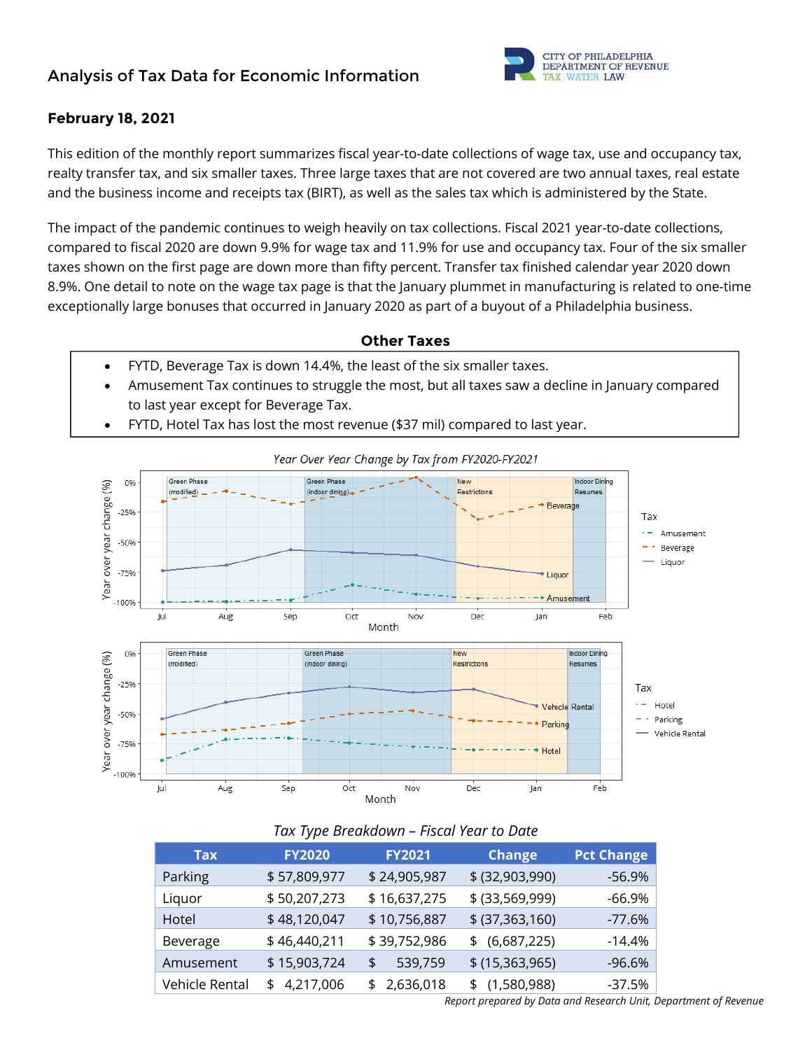## **Analysis of Tax Data for Economic Information**



#### **February 18, 2021**

This edition of the monthly report summarizes fiscal year-to-date collections of wage tax, use and occupancy tax, realty transfer tax, and six smaller taxes. Three large taxes that are not covered are two annual taxes, real estate and the business income and receipts tax (BIRT), as well as the sales tax which is administered by the State.

The impact of the pandemic continues to weigh heavily on tax collections. Fiscal 2021 year-to-date collections, compared to fiscal 2020 are down 9.9% for wage tax and 11.9% for use and occupancy tax. Four of the six smaller taxes shown on the first page are down more than fifty percent. Transfer tax finished calendar year 2020 down 8.9%. One detail to note on the wage tax page is that the January plummet in manufacturing is related to one-time exceptionally large bonuses that occurred in January 2020 as part of a buyout of a Philadelphia business.

#### **Other Taxes**

- FYTD, Beverage Tax is down 14.4%, the least of the six smaller taxes.
- Amusement Tax continues to struggle the most, but all taxes saw a decline in January compared to last year except for Beverage Tax.



FYTD, Hotel Tax has lost the most revenue (\$37 mil) compared to last year.

#### *Tax Type Breakdown – Fiscal Year to Date*

| <b>Tax</b>     | <b>FY2020</b> | <b>FY2021</b> | <b>Change</b>     | <b>Pct Change</b> |
|----------------|---------------|---------------|-------------------|-------------------|
| Parking        | \$57,809,977  | \$24,905,987  | \$ (32,903,990)   | -56.9%            |
| Liquor         | \$50,207,273  | \$16,637,275  | $$$ (33,569,999)  | $-66.9%$          |
| Hotel          | \$48,120,047  | \$10,756,887  | \$ (37, 363, 160) | $-77.6%$          |
| Beverage       | \$46,440,211  | \$39,752,986  | $$$ (6,687,225)   | $-14.4%$          |
| Amusement      | \$15,903,724  | 539,759<br>\$ | $$$ (15,363,965)  | $-96.6%$          |
| Vehicle Rental | \$4,217,006   | \$2,636,018   | \$(1,580,988)     | $-37.5%$          |

*Report prepared by Data and Research Unit, Department of Revenue*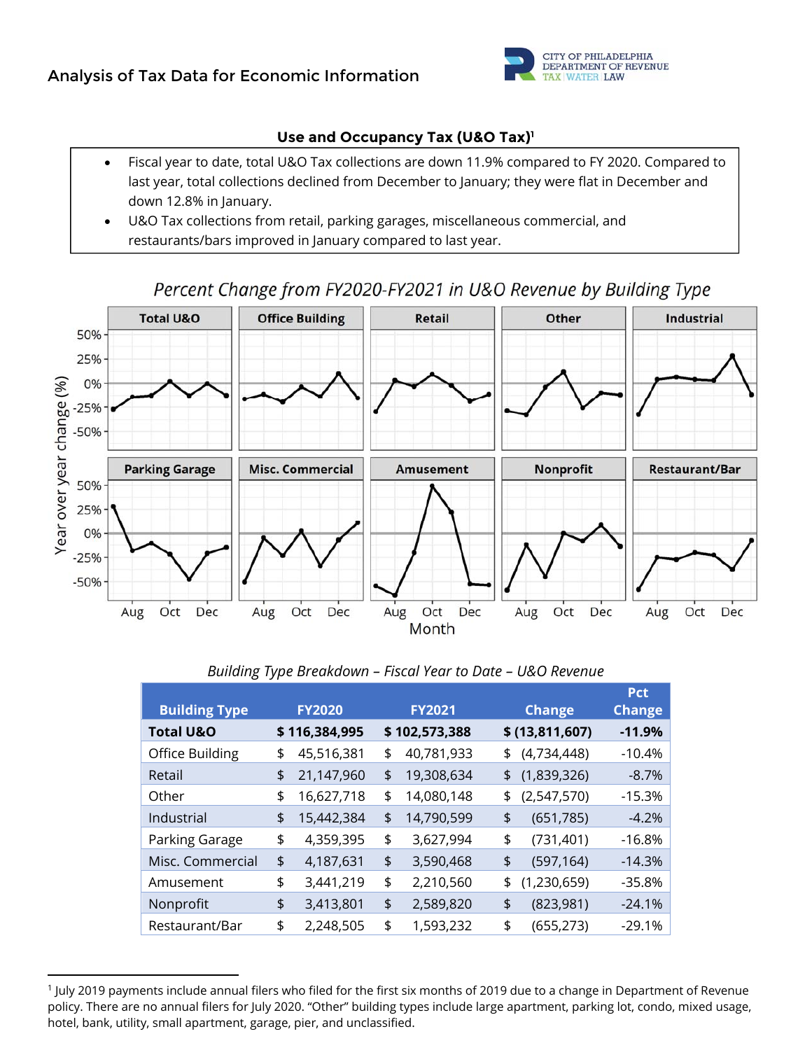

### **Use and Occupancy Tax (U&O Tax)1**

- Fiscal year to date, total U&O Tax collections are down 11.9% compared to FY 2020. Compared to last year, total collections declined from December to January; they were flat in December and down 12.8% in January.
- U&O Tax collections from retail, parking garages, miscellaneous commercial, and restaurants/bars improved in January compared to last year.

# Percent Change from FY2020-FY2021 in U&O Revenue by Building Type



| <b>Building Type</b> | <b>FY2020</b>    | <b>FY2021</b>    | <b>Change</b>     | <b>Pct</b><br><b>Change</b> |
|----------------------|------------------|------------------|-------------------|-----------------------------|
| <b>Total U&amp;O</b> | \$116,384,995    | \$102,573,388    | \$ (13,811,607)   | $-11.9%$                    |
| Office Building      | \$<br>45,516,381 | \$<br>40,781,933 | \$<br>(4,734,448) | $-10.4%$                    |
| Retail               | \$<br>21,147,960 | \$<br>19,308,634 | \$<br>(1,839,326) | $-8.7\%$                    |
| Other                | \$<br>16,627,718 | \$<br>14,080,148 | \$<br>(2,547,570) | $-15.3%$                    |
| Industrial           | \$<br>15,442,384 | \$<br>14,790,599 | \$<br>(651, 785)  | $-4.2%$                     |
| Parking Garage       | \$<br>4,359,395  | \$<br>3,627,994  | \$<br>(731, 401)  | $-16.8%$                    |
| Misc. Commercial     | \$<br>4,187,631  | \$<br>3,590,468  | \$<br>(597, 164)  | $-14.3%$                    |
| Amusement            | \$<br>3,441,219  | \$<br>2,210,560  | \$<br>(1,230,659) | -35.8%                      |
| Nonprofit            | \$<br>3,413,801  | \$<br>2,589,820  | \$<br>(823,981)   | $-24.1%$                    |
| Restaurant/Bar       | \$<br>2,248,505  | \$<br>1,593,232  | \$<br>(655, 273)  | $-29.1%$                    |

#### *Building Type Breakdown – Fiscal Year to Date – U&O Revenue*

 1 July 2019 payments include annual filers who filed for the first six months of 2019 due to a change in Department of Revenue policy. There are no annual filers for July 2020. "Other" building types include large apartment, parking lot, condo, mixed usage, hotel, bank, utility, small apartment, garage, pier, and unclassified.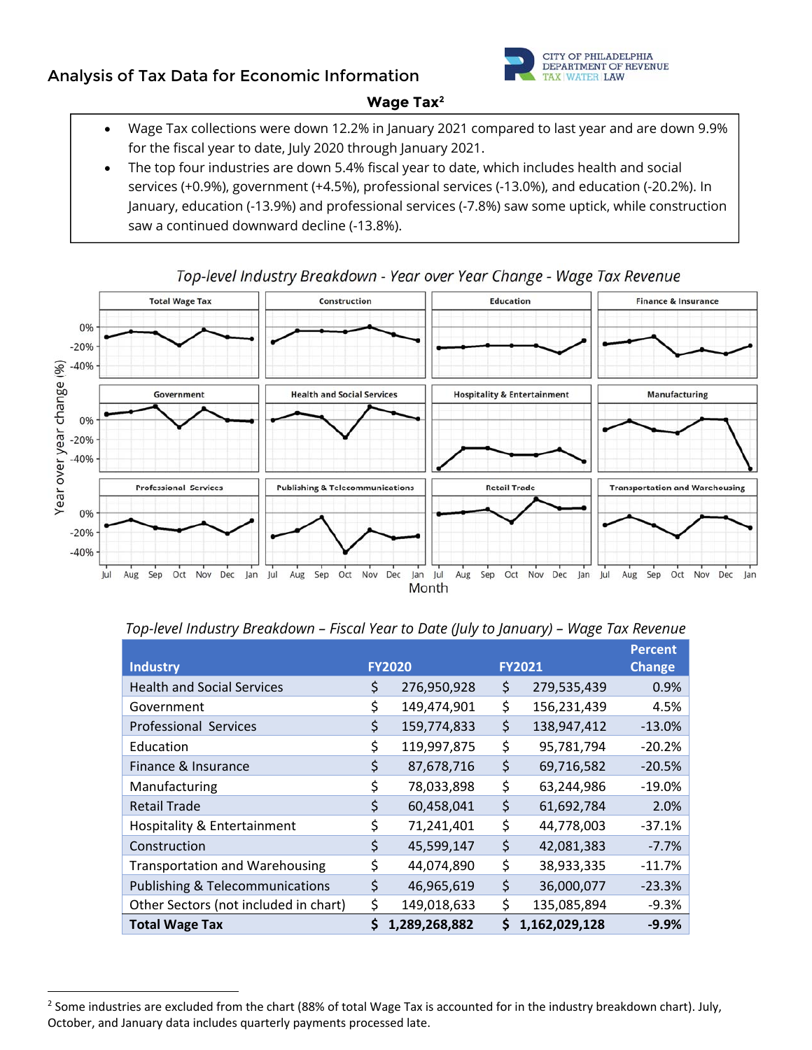# **Analysis of Tax Data for Economic Information**



#### **Wage Tax2**

- Wage Tax collections were down 12.2% in January 2021 compared to last year and are down 9.9% for the fiscal year to date, July 2020 through January 2021.
- The top four industries are down 5.4% fiscal year to date, which includes health and social services (+0.9%), government (+4.5%), professional services (-13.0%), and education (-20.2%). In January, education (-13.9%) and professional services (-7.8%) saw some uptick, while construction saw a continued downward decline (-13.8%).



## Top-level Industry Breakdown - Year over Year Change - Wage Tax Revenue

#### *Top-level Industry Breakdown – Fiscal Year to Date (July to January) – Wage Tax Revenue*

|                                            |    |               |                     | <b>Percent</b> |
|--------------------------------------------|----|---------------|---------------------|----------------|
| <b>Industry</b>                            |    | <b>FY2020</b> | <b>FY2021</b>       | <b>Change</b>  |
| <b>Health and Social Services</b>          | \$ | 276,950,928   | \$<br>279,535,439   | 0.9%           |
| Government                                 | \$ | 149,474,901   | \$<br>156,231,439   | 4.5%           |
| <b>Professional Services</b>               | \$ | 159,774,833   | \$<br>138,947,412   | $-13.0%$       |
| Education                                  | \$ | 119,997,875   | \$<br>95,781,794    | $-20.2%$       |
| Finance & Insurance                        | \$ | 87,678,716    | \$<br>69,716,582    | $-20.5%$       |
| Manufacturing                              | \$ | 78,033,898    | \$<br>63,244,986    | $-19.0%$       |
| <b>Retail Trade</b>                        | \$ | 60,458,041    | \$<br>61,692,784    | 2.0%           |
| Hospitality & Entertainment                | \$ | 71,241,401    | \$<br>44,778,003    | -37.1%         |
| Construction                               | \$ | 45,599,147    | \$<br>42,081,383    | $-7.7%$        |
| <b>Transportation and Warehousing</b>      | \$ | 44,074,890    | \$<br>38,933,335    | $-11.7%$       |
| <b>Publishing &amp; Telecommunications</b> | \$ | 46,965,619    | \$<br>36,000,077    | $-23.3%$       |
| Other Sectors (not included in chart)      | \$ | 149,018,633   | \$<br>135,085,894   | $-9.3%$        |
| <b>Total Wage Tax</b>                      | Ś  | 1,289,268,882 | \$<br>1,162,029,128 | $-9.9%$        |

 $2$  Some industries are excluded from the chart (88% of total Wage Tax is accounted for in the industry breakdown chart). July, October, and January data includes quarterly payments processed late.